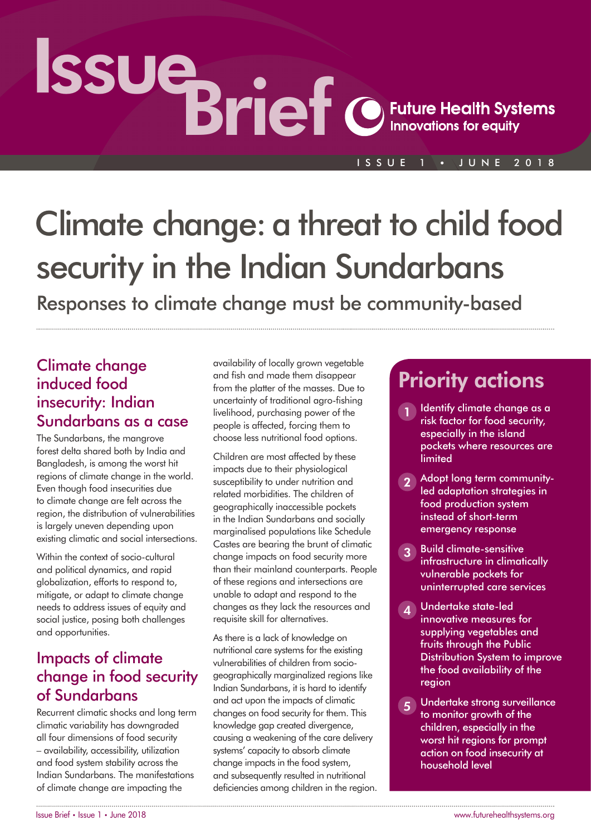# Issue Brief

ISSUE 1 • JUNE 2018

# Climate change: a threat to child food security in the Indian Sundarbans

Responses to climate change must be community-based

#### Climate change induced food insecurity: Indian Sundarbans as a case

The Sundarbans, the mangrove forest delta shared both by India and Bangladesh, is among the worst hit regions of climate change in the world. Even though food insecurities due to climate change are felt across the region, the distribution of vulnerabilities is largely uneven depending upon existing climatic and social intersections.

Within the context of socio-cultural and political dynamics, and rapid globalization, efforts to respond to, mitigate, or adapt to climate change needs to address issues of equity and social justice, posing both challenges and opportunities.

#### Impacts of climate change in food security of Sundarbans

Recurrent climatic shocks and long term climatic variability has downgraded all four dimensions of food security – availability, accessibility, utilization and food system stability across the Indian Sundarbans. The manifestations of climate change are impacting the

availability of locally grown vegetable and fish and made them disappear from the platter of the masses. Due to uncertainty of traditional agro-fishing livelihood, purchasing power of the people is affected, forcing them to choose less nutritional food options.

Children are most affected by these impacts due to their physiological susceptibility to under nutrition and related morbidities. The children of geographically inaccessible pockets in the Indian Sundarbans and socially marginalised populations like Schedule Castes are bearing the brunt of climatic change impacts on food security more than their mainland counterparts. People of these regions and intersections are unable to adapt and respond to the changes as they lack the resources and requisite skill for alternatives.

As there is a lack of knowledge on nutritional care systems for the existing vulnerabilities of children from sociogeographically marginalized regions like Indian Sundarbans, it is hard to identify and act upon the impacts of climatic changes on food security for them. This knowledge gap created divergence, causing a weakening of the care delivery systems' capacity to absorb climate change impacts in the food system, and subsequently resulted in nutritional deficiencies among children in the region.

### Priority actions

- Identify climate change as a risk factor for food security, especially in the island pockets where resources are limited
- 2 Adopt long term communityled adaptation strategies in food production system instead of short-term emergency response
- **3** Build climate-sensitive infrastructure in climatically vulnerable pockets for uninterrupted care services
- 4 Undertake state-led innovative measures for supplying vegetables and fruits through the Public Distribution System to improve the food availability of the region
- 5 Undertake strong surveillance to monitor growth of the children, especially in the worst hit regions for prompt action on food insecurity at household level